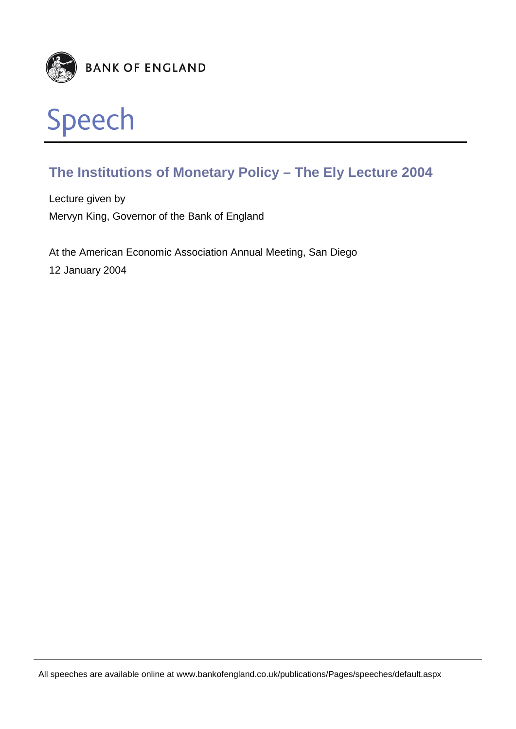

### **The Institutions of Monetary Policy – The Ely Lecture 2004**

Lecture given by Mervyn King, Governor of the Bank of England

At the American Economic Association Annual Meeting, San Diego 12 January 2004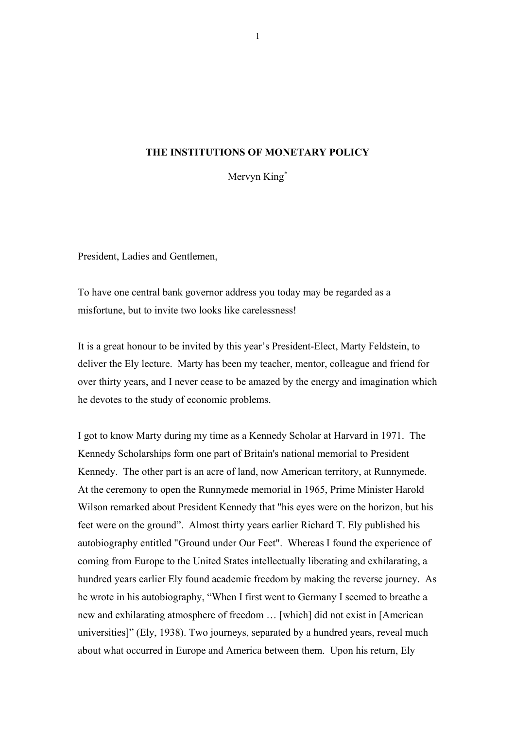#### **THE INSTITUTIONS OF MONETARY POLICY**

Mervyn King<sup>∗</sup>

President, Ladies and Gentlemen,

To have one central bank governor address you today may be regarded as a misfortune, but to invite two looks like carelessness!

It is a great honour to be invited by this year's President-Elect, Marty Feldstein, to deliver the Ely lecture. Marty has been my teacher, mentor, colleague and friend for over thirty years, and I never cease to be amazed by the energy and imagination which he devotes to the study of economic problems.

I got to know Marty during my time as a Kennedy Scholar at Harvard in 1971. The Kennedy Scholarships form one part of Britain's national memorial to President Kennedy. The other part is an acre of land, now American territory, at Runnymede. At the ceremony to open the Runnymede memorial in 1965, Prime Minister Harold Wilson remarked about President Kennedy that "his eyes were on the horizon, but his feet were on the ground". Almost thirty years earlier Richard T. Ely published his autobiography entitled "Ground under Our Feet". Whereas I found the experience of coming from Europe to the United States intellectually liberating and exhilarating, a hundred years earlier Ely found academic freedom by making the reverse journey. As he wrote in his autobiography, "When I first went to Germany I seemed to breathe a new and exhilarating atmosphere of freedom … [which] did not exist in [American universities]" (Ely, 1938). Two journeys, separated by a hundred years, reveal much about what occurred in Europe and America between them. Upon his return, Ely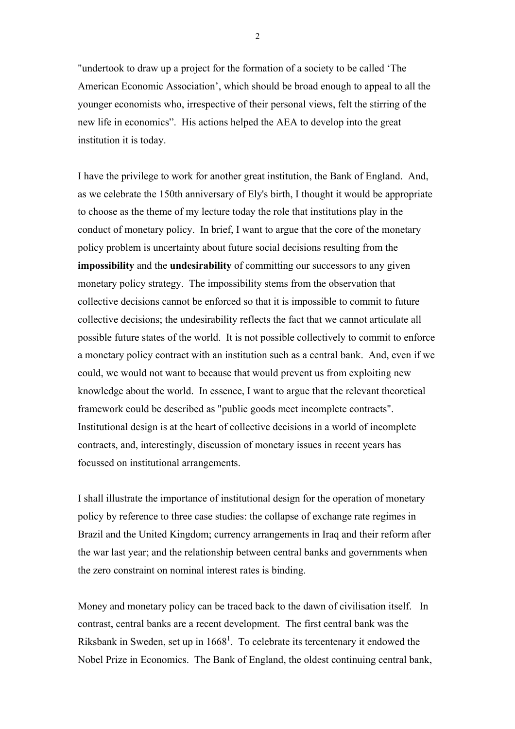"undertook to draw up a project for the formation of a society to be called 'The American Economic Association', which should be broad enough to appeal to all the younger economists who, irrespective of their personal views, felt the stirring of the new life in economics". His actions helped the AEA to develop into the great institution it is today.

I have the privilege to work for another great institution, the Bank of England. And, as we celebrate the 150th anniversary of Ely's birth, I thought it would be appropriate to choose as the theme of my lecture today the role that institutions play in the conduct of monetary policy. In brief, I want to argue that the core of the monetary policy problem is uncertainty about future social decisions resulting from the **impossibility** and the **undesirability** of committing our successors to any given monetary policy strategy. The impossibility stems from the observation that collective decisions cannot be enforced so that it is impossible to commit to future collective decisions; the undesirability reflects the fact that we cannot articulate all possible future states of the world. It is not possible collectively to commit to enforce a monetary policy contract with an institution such as a central bank. And, even if we could, we would not want to because that would prevent us from exploiting new knowledge about the world. In essence, I want to argue that the relevant theoretical framework could be described as "public goods meet incomplete contracts". Institutional design is at the heart of collective decisions in a world of incomplete contracts, and, interestingly, discussion of monetary issues in recent years has focussed on institutional arrangements.

I shall illustrate the importance of institutional design for the operation of monetary policy by reference to three case studies: the collapse of exchange rate regimes in Brazil and the United Kingdom; currency arrangements in Iraq and their reform after the war last year; and the relationship between central banks and governments when the zero constraint on nominal interest rates is binding.

Money and monetary policy can be traced back to the dawn of civilisation itself. In contrast, central banks are a recent development. The first central bank was the Riksbank in Sweden, set up in  $1668<sup>1</sup>$ . To celebrate its tercentenary it endowed the Nobel Prize in Economics. The Bank of England, the oldest continuing central bank,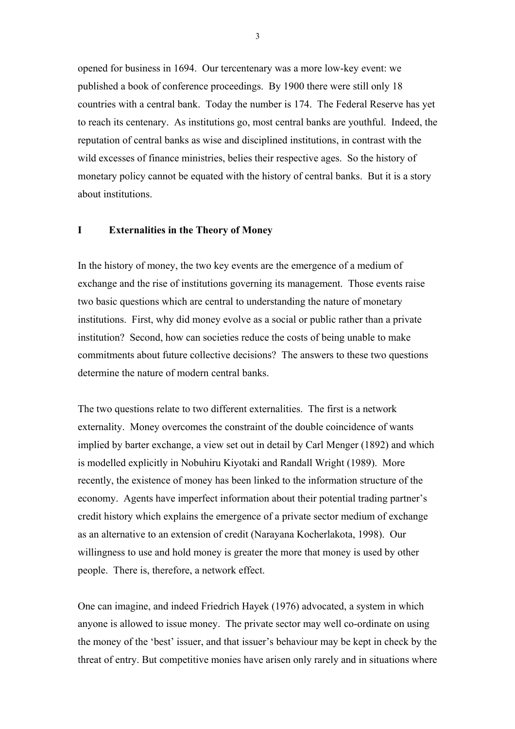opened for business in 1694. Our tercentenary was a more low-key event: we published a book of conference proceedings. By 1900 there were still only 18 countries with a central bank. Today the number is 174. The Federal Reserve has yet to reach its centenary. As institutions go, most central banks are youthful. Indeed, the reputation of central banks as wise and disciplined institutions, in contrast with the wild excesses of finance ministries, belies their respective ages. So the history of monetary policy cannot be equated with the history of central banks. But it is a story about institutions.

#### **I Externalities in the Theory of Money**

In the history of money, the two key events are the emergence of a medium of exchange and the rise of institutions governing its management. Those events raise two basic questions which are central to understanding the nature of monetary institutions. First, why did money evolve as a social or public rather than a private institution? Second, how can societies reduce the costs of being unable to make commitments about future collective decisions? The answers to these two questions determine the nature of modern central banks.

The two questions relate to two different externalities. The first is a network externality. Money overcomes the constraint of the double coincidence of wants implied by barter exchange, a view set out in detail by Carl Menger (1892) and which is modelled explicitly in Nobuhiru Kiyotaki and Randall Wright (1989). More recently, the existence of money has been linked to the information structure of the economy. Agents have imperfect information about their potential trading partner's credit history which explains the emergence of a private sector medium of exchange as an alternative to an extension of credit (Narayana Kocherlakota, 1998). Our willingness to use and hold money is greater the more that money is used by other people. There is, therefore, a network effect.

One can imagine, and indeed Friedrich Hayek (1976) advocated, a system in which anyone is allowed to issue money. The private sector may well co-ordinate on using the money of the 'best' issuer, and that issuer's behaviour may be kept in check by the threat of entry. But competitive monies have arisen only rarely and in situations where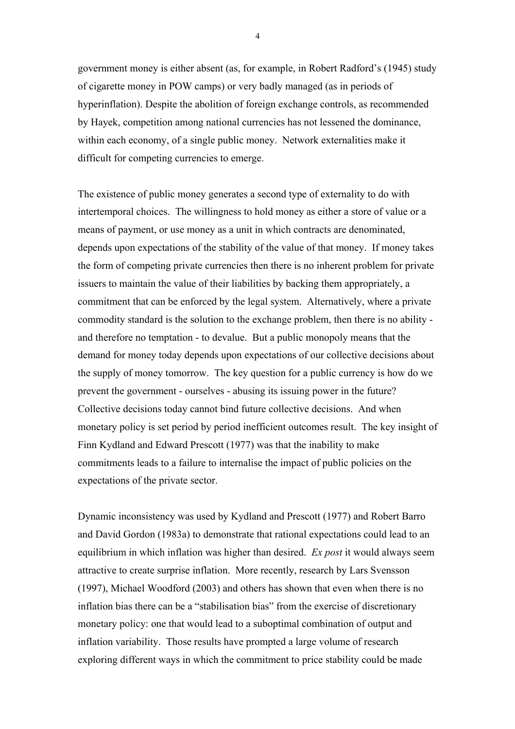government money is either absent (as, for example, in Robert Radford's (1945) study of cigarette money in POW camps) or very badly managed (as in periods of hyperinflation). Despite the abolition of foreign exchange controls, as recommended by Hayek, competition among national currencies has not lessened the dominance, within each economy, of a single public money. Network externalities make it difficult for competing currencies to emerge.

The existence of public money generates a second type of externality to do with intertemporal choices. The willingness to hold money as either a store of value or a means of payment, or use money as a unit in which contracts are denominated, depends upon expectations of the stability of the value of that money. If money takes the form of competing private currencies then there is no inherent problem for private issuers to maintain the value of their liabilities by backing them appropriately, a commitment that can be enforced by the legal system. Alternatively, where a private commodity standard is the solution to the exchange problem, then there is no ability and therefore no temptation - to devalue. But a public monopoly means that the demand for money today depends upon expectations of our collective decisions about the supply of money tomorrow. The key question for a public currency is how do we prevent the government - ourselves - abusing its issuing power in the future? Collective decisions today cannot bind future collective decisions. And when monetary policy is set period by period inefficient outcomes result. The key insight of Finn Kydland and Edward Prescott (1977) was that the inability to make commitments leads to a failure to internalise the impact of public policies on the expectations of the private sector.

Dynamic inconsistency was used by Kydland and Prescott (1977) and Robert Barro and David Gordon (1983a) to demonstrate that rational expectations could lead to an equilibrium in which inflation was higher than desired. *Ex post* it would always seem attractive to create surprise inflation. More recently, research by Lars Svensson (1997), Michael Woodford (2003) and others has shown that even when there is no inflation bias there can be a "stabilisation bias" from the exercise of discretionary monetary policy: one that would lead to a suboptimal combination of output and inflation variability. Those results have prompted a large volume of research exploring different ways in which the commitment to price stability could be made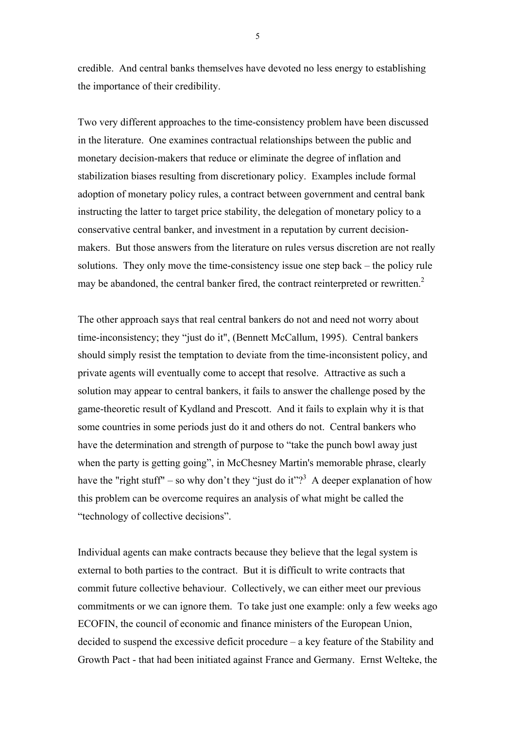credible. And central banks themselves have devoted no less energy to establishing the importance of their credibility.

Two very different approaches to the time-consistency problem have been discussed in the literature. One examines contractual relationships between the public and monetary decision-makers that reduce or eliminate the degree of inflation and stabilization biases resulting from discretionary policy. Examples include formal adoption of monetary policy rules, a contract between government and central bank instructing the latter to target price stability, the delegation of monetary policy to a conservative central banker, and investment in a reputation by current decisionmakers. But those answers from the literature on rules versus discretion are not really solutions. They only move the time-consistency issue one step back – the policy rule may be abandoned, the central banker fired, the contract reinterpreted or rewritten. $2$ 

The other approach says that real central bankers do not and need not worry about time-inconsistency; they "just do it", (Bennett McCallum, 1995). Central bankers should simply resist the temptation to deviate from the time-inconsistent policy, and private agents will eventually come to accept that resolve. Attractive as such a solution may appear to central bankers, it fails to answer the challenge posed by the game-theoretic result of Kydland and Prescott. And it fails to explain why it is that some countries in some periods just do it and others do not. Central bankers who have the determination and strength of purpose to "take the punch bowl away just when the party is getting going", in McChesney Martin's memorable phrase, clearly have the "right stuff" – so why don't they "just do it"?<sup>3</sup> A deeper explanation of how this problem can be overcome requires an analysis of what might be called the "technology of collective decisions".

Individual agents can make contracts because they believe that the legal system is external to both parties to the contract. But it is difficult to write contracts that commit future collective behaviour. Collectively, we can either meet our previous commitments or we can ignore them. To take just one example: only a few weeks ago ECOFIN, the council of economic and finance ministers of the European Union, decided to suspend the excessive deficit procedure – a key feature of the Stability and Growth Pact - that had been initiated against France and Germany. Ernst Welteke, the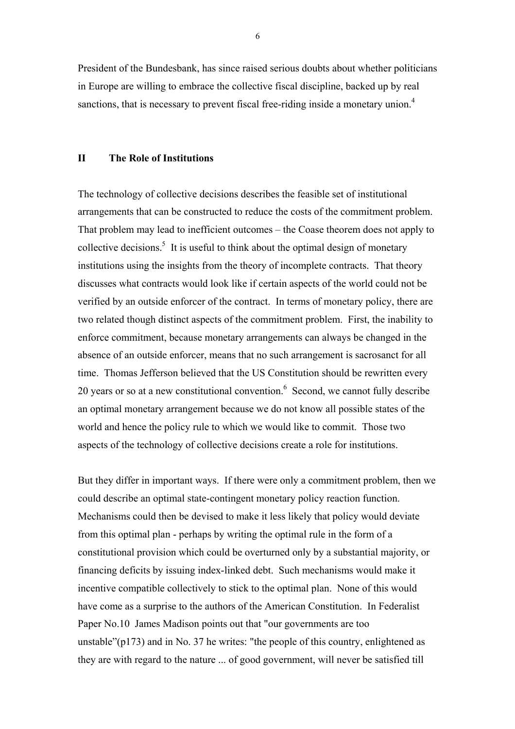President of the Bundesbank, has since raised serious doubts about whether politicians in Europe are willing to embrace the collective fiscal discipline, backed up by real sanctions, that is necessary to prevent fiscal free-riding inside a monetary union.<sup>4</sup>

#### **II The Role of Institutions**

The technology of collective decisions describes the feasible set of institutional arrangements that can be constructed to reduce the costs of the commitment problem. That problem may lead to inefficient outcomes – the Coase theorem does not apply to collective decisions.<sup>5</sup> It is useful to think about the optimal design of monetary institutions using the insights from the theory of incomplete contracts. That theory discusses what contracts would look like if certain aspects of the world could not be verified by an outside enforcer of the contract. In terms of monetary policy, there are two related though distinct aspects of the commitment problem. First, the inability to enforce commitment, because monetary arrangements can always be changed in the absence of an outside enforcer, means that no such arrangement is sacrosanct for all time. Thomas Jefferson believed that the US Constitution should be rewritten every 20 years or so at a new constitutional convention. $6$  Second, we cannot fully describe an optimal monetary arrangement because we do not know all possible states of the world and hence the policy rule to which we would like to commit. Those two aspects of the technology of collective decisions create a role for institutions.

But they differ in important ways. If there were only a commitment problem, then we could describe an optimal state-contingent monetary policy reaction function. Mechanisms could then be devised to make it less likely that policy would deviate from this optimal plan - perhaps by writing the optimal rule in the form of a constitutional provision which could be overturned only by a substantial majority, or financing deficits by issuing index-linked debt. Such mechanisms would make it incentive compatible collectively to stick to the optimal plan. None of this would have come as a surprise to the authors of the American Constitution. In Federalist Paper No.10 James Madison points out that "our governments are too unstable"(p173) and in No. 37 he writes: "the people of this country, enlightened as they are with regard to the nature ... of good government, will never be satisfied till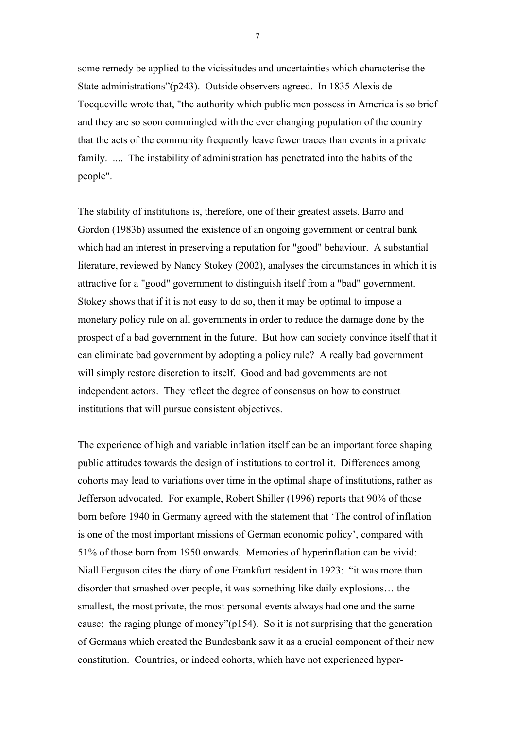some remedy be applied to the vicissitudes and uncertainties which characterise the State administrations"(p243). Outside observers agreed. In 1835 Alexis de Tocqueville wrote that, "the authority which public men possess in America is so brief and they are so soon commingled with the ever changing population of the country that the acts of the community frequently leave fewer traces than events in a private family. .... The instability of administration has penetrated into the habits of the people".

The stability of institutions is, therefore, one of their greatest assets. Barro and Gordon (1983b) assumed the existence of an ongoing government or central bank which had an interest in preserving a reputation for "good" behaviour. A substantial literature, reviewed by Nancy Stokey (2002), analyses the circumstances in which it is attractive for a "good" government to distinguish itself from a "bad" government. Stokey shows that if it is not easy to do so, then it may be optimal to impose a monetary policy rule on all governments in order to reduce the damage done by the prospect of a bad government in the future. But how can society convince itself that it can eliminate bad government by adopting a policy rule? A really bad government will simply restore discretion to itself. Good and bad governments are not independent actors. They reflect the degree of consensus on how to construct institutions that will pursue consistent objectives.

The experience of high and variable inflation itself can be an important force shaping public attitudes towards the design of institutions to control it. Differences among cohorts may lead to variations over time in the optimal shape of institutions, rather as Jefferson advocated. For example, Robert Shiller (1996) reports that 90% of those born before 1940 in Germany agreed with the statement that 'The control of inflation is one of the most important missions of German economic policy', compared with 51% of those born from 1950 onwards. Memories of hyperinflation can be vivid: Niall Ferguson cites the diary of one Frankfurt resident in 1923: "it was more than disorder that smashed over people, it was something like daily explosions… the smallest, the most private, the most personal events always had one and the same cause; the raging plunge of money"(p154). So it is not surprising that the generation of Germans which created the Bundesbank saw it as a crucial component of their new constitution. Countries, or indeed cohorts, which have not experienced hyper-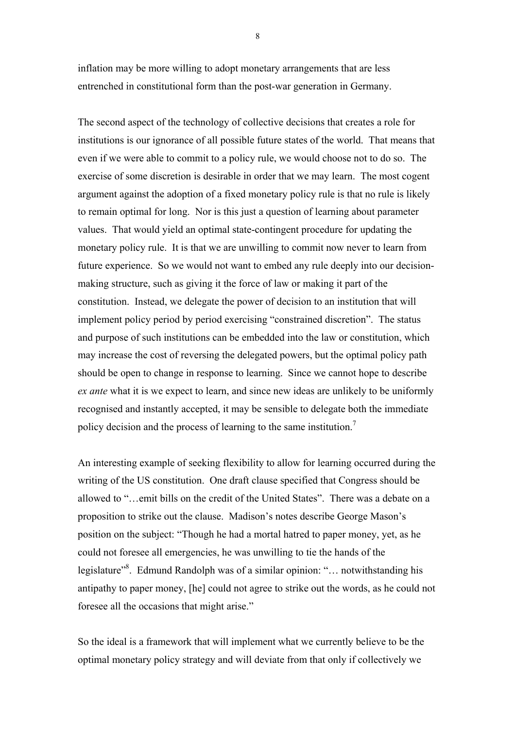inflation may be more willing to adopt monetary arrangements that are less entrenched in constitutional form than the post-war generation in Germany.

The second aspect of the technology of collective decisions that creates a role for institutions is our ignorance of all possible future states of the world. That means that even if we were able to commit to a policy rule, we would choose not to do so. The exercise of some discretion is desirable in order that we may learn. The most cogent argument against the adoption of a fixed monetary policy rule is that no rule is likely to remain optimal for long. Nor is this just a question of learning about parameter values. That would yield an optimal state-contingent procedure for updating the monetary policy rule. It is that we are unwilling to commit now never to learn from future experience. So we would not want to embed any rule deeply into our decisionmaking structure, such as giving it the force of law or making it part of the constitution. Instead, we delegate the power of decision to an institution that will implement policy period by period exercising "constrained discretion". The status and purpose of such institutions can be embedded into the law or constitution, which may increase the cost of reversing the delegated powers, but the optimal policy path should be open to change in response to learning. Since we cannot hope to describe *ex ante* what it is we expect to learn, and since new ideas are unlikely to be uniformly recognised and instantly accepted, it may be sensible to delegate both the immediate policy decision and the process of learning to the same institution.<sup>7</sup>

An interesting example of seeking flexibility to allow for learning occurred during the writing of the US constitution. One draft clause specified that Congress should be allowed to "…emit bills on the credit of the United States". There was a debate on a proposition to strike out the clause. Madison's notes describe George Mason's position on the subject: "Though he had a mortal hatred to paper money, yet, as he could not foresee all emergencies, he was unwilling to tie the hands of the legislature"<sup>8</sup>. Edmund Randolph was of a similar opinion: "... notwithstanding his antipathy to paper money, [he] could not agree to strike out the words, as he could not foresee all the occasions that might arise."

So the ideal is a framework that will implement what we currently believe to be the optimal monetary policy strategy and will deviate from that only if collectively we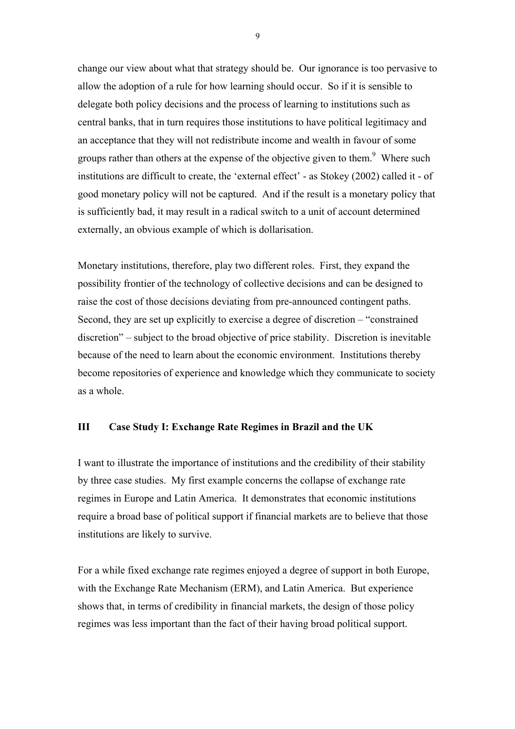change our view about what that strategy should be. Our ignorance is too pervasive to allow the adoption of a rule for how learning should occur. So if it is sensible to delegate both policy decisions and the process of learning to institutions such as central banks, that in turn requires those institutions to have political legitimacy and an acceptance that they will not redistribute income and wealth in favour of some groups rather than others at the expense of the objective given to them.<sup>9</sup> Where such institutions are difficult to create, the 'external effect' - as Stokey (2002) called it - of good monetary policy will not be captured. And if the result is a monetary policy that is sufficiently bad, it may result in a radical switch to a unit of account determined externally, an obvious example of which is dollarisation.

Monetary institutions, therefore, play two different roles. First, they expand the possibility frontier of the technology of collective decisions and can be designed to raise the cost of those decisions deviating from pre-announced contingent paths. Second, they are set up explicitly to exercise a degree of discretion – "constrained discretion" – subject to the broad objective of price stability. Discretion is inevitable because of the need to learn about the economic environment. Institutions thereby become repositories of experience and knowledge which they communicate to society as a whole.

### **III Case Study I: Exchange Rate Regimes in Brazil and the UK**

I want to illustrate the importance of institutions and the credibility of their stability by three case studies. My first example concerns the collapse of exchange rate regimes in Europe and Latin America. It demonstrates that economic institutions require a broad base of political support if financial markets are to believe that those institutions are likely to survive.

For a while fixed exchange rate regimes enjoyed a degree of support in both Europe, with the Exchange Rate Mechanism (ERM), and Latin America. But experience shows that, in terms of credibility in financial markets, the design of those policy regimes was less important than the fact of their having broad political support.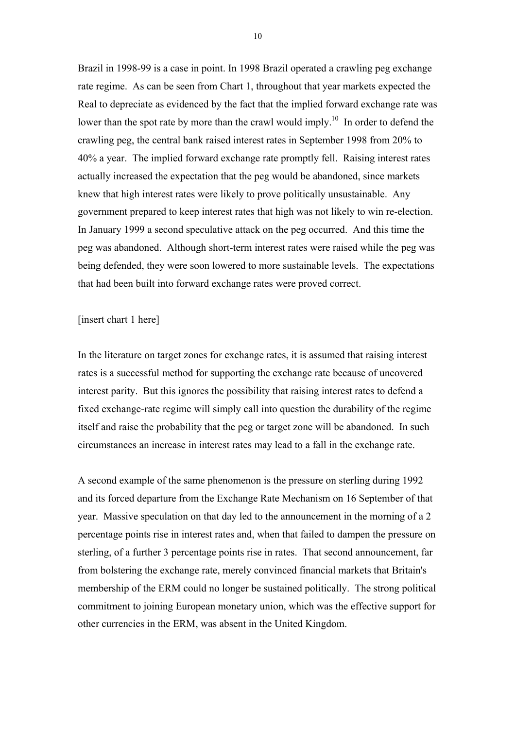Brazil in 1998-99 is a case in point. In 1998 Brazil operated a crawling peg exchange rate regime. As can be seen from Chart 1, throughout that year markets expected the Real to depreciate as evidenced by the fact that the implied forward exchange rate was lower than the spot rate by more than the crawl would imply.<sup>10</sup> In order to defend the crawling peg, the central bank raised interest rates in September 1998 from 20% to 40% a year. The implied forward exchange rate promptly fell. Raising interest rates actually increased the expectation that the peg would be abandoned, since markets knew that high interest rates were likely to prove politically unsustainable. Any government prepared to keep interest rates that high was not likely to win re-election. In January 1999 a second speculative attack on the peg occurred. And this time the peg was abandoned. Although short-term interest rates were raised while the peg was being defended, they were soon lowered to more sustainable levels. The expectations that had been built into forward exchange rates were proved correct.

#### [insert chart 1 here]

In the literature on target zones for exchange rates, it is assumed that raising interest rates is a successful method for supporting the exchange rate because of uncovered interest parity. But this ignores the possibility that raising interest rates to defend a fixed exchange-rate regime will simply call into question the durability of the regime itself and raise the probability that the peg or target zone will be abandoned. In such circumstances an increase in interest rates may lead to a fall in the exchange rate.

A second example of the same phenomenon is the pressure on sterling during 1992 and its forced departure from the Exchange Rate Mechanism on 16 September of that year. Massive speculation on that day led to the announcement in the morning of a 2 percentage points rise in interest rates and, when that failed to dampen the pressure on sterling, of a further 3 percentage points rise in rates. That second announcement, far from bolstering the exchange rate, merely convinced financial markets that Britain's membership of the ERM could no longer be sustained politically. The strong political commitment to joining European monetary union, which was the effective support for other currencies in the ERM, was absent in the United Kingdom.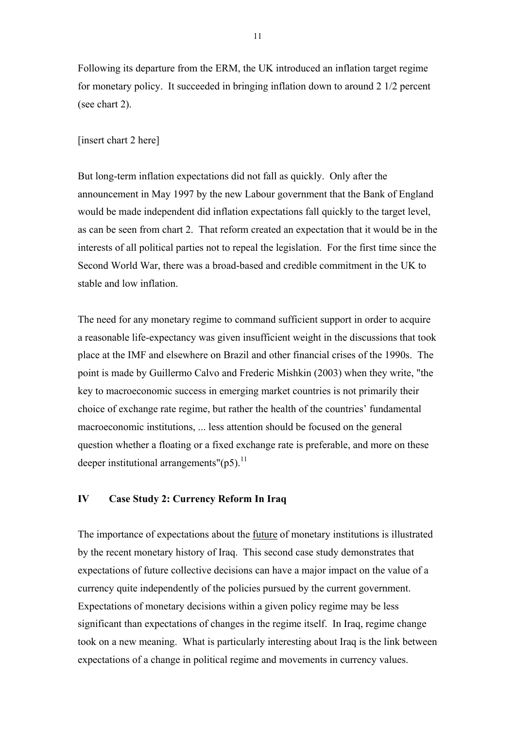Following its departure from the ERM, the UK introduced an inflation target regime for monetary policy. It succeeded in bringing inflation down to around 2 1/2 percent (see chart 2).

#### [insert chart 2 here]

But long-term inflation expectations did not fall as quickly. Only after the announcement in May 1997 by the new Labour government that the Bank of England would be made independent did inflation expectations fall quickly to the target level, as can be seen from chart 2. That reform created an expectation that it would be in the interests of all political parties not to repeal the legislation. For the first time since the Second World War, there was a broad-based and credible commitment in the UK to stable and low inflation.

The need for any monetary regime to command sufficient support in order to acquire a reasonable life-expectancy was given insufficient weight in the discussions that took place at the IMF and elsewhere on Brazil and other financial crises of the 1990s. The point is made by Guillermo Calvo and Frederic Mishkin (2003) when they write, "the key to macroeconomic success in emerging market countries is not primarily their choice of exchange rate regime, but rather the health of the countries' fundamental macroeconomic institutions, ... less attention should be focused on the general question whether a floating or a fixed exchange rate is preferable, and more on these deeper institutional arrangements"( $p5$ ).<sup>11</sup>

#### **IV Case Study 2: Currency Reform In Iraq**

The importance of expectations about the future of monetary institutions is illustrated by the recent monetary history of Iraq. This second case study demonstrates that expectations of future collective decisions can have a major impact on the value of a currency quite independently of the policies pursued by the current government. Expectations of monetary decisions within a given policy regime may be less significant than expectations of changes in the regime itself. In Iraq, regime change took on a new meaning. What is particularly interesting about Iraq is the link between expectations of a change in political regime and movements in currency values.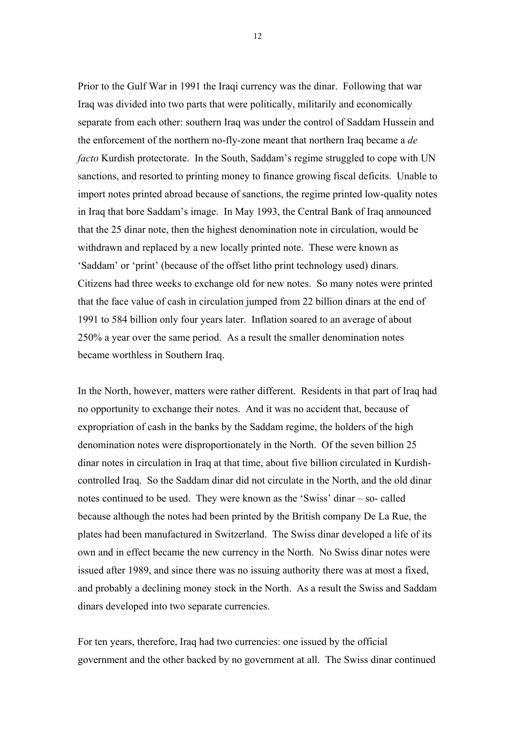Prior to the Gulf War in 1991 the Iraqi currency was the dinar. Following that war Iraq was divided into two parts that were politically, militarily and economically separate from each other: southern Iraq was under the control of Saddam Hussein and the enforcement of the northern no-fly-zone meant that northern Iraq became a *de facto* Kurdish protectorate. In the South, Saddam's regime struggled to cope with UN sanctions, and resorted to printing money to finance growing fiscal deficits. Unable to import notes printed abroad because of sanctions, the regime printed low-quality notes in Iraq that bore Saddam's image. In May 1993, the Central Bank of Iraq announced that the 25 dinar note, then the highest denomination note in circulation, would be withdrawn and replaced by a new locally printed note. These were known as 'Saddam' or 'print' (because of the offset litho print technology used) dinars. Citizens had three weeks to exchange old for new notes. So many notes were printed that the face value of cash in circulation jumped from 22 billion dinars at the end of 1991 to 584 billion only four years later. Inflation soared to an average of about 250% a year over the same period. As a result the smaller denomination notes became worthless in Southern Iraq.

In the North, however, matters were rather different. Residents in that part of Iraq had no opportunity to exchange their notes. And it was no accident that, because of expropriation of cash in the banks by the Saddam regime, the holders of the high denomination notes were disproportionately in the North. Of the seven billion 25 dinar notes in circulation in Iraq at that time, about five billion circulated in Kurdishcontrolled Iraq. So the Saddam dinar did not circulate in the North, and the old dinar notes continued to be used. They were known as the 'Swiss' dinar – so- called because although the notes had been printed by the British company De La Rue, the plates had been manufactured in Switzerland. The Swiss dinar developed a life of its own and in effect became the new currency in the North. No Swiss dinar notes were issued after 1989, and since there was no issuing authority there was at most a fixed, and probably a declining money stock in the North. As a result the Swiss and Saddam dinars developed into two separate currencies.

For ten years, therefore, Iraq had two currencies: one issued by the official government and the other backed by no government at all. The Swiss dinar continued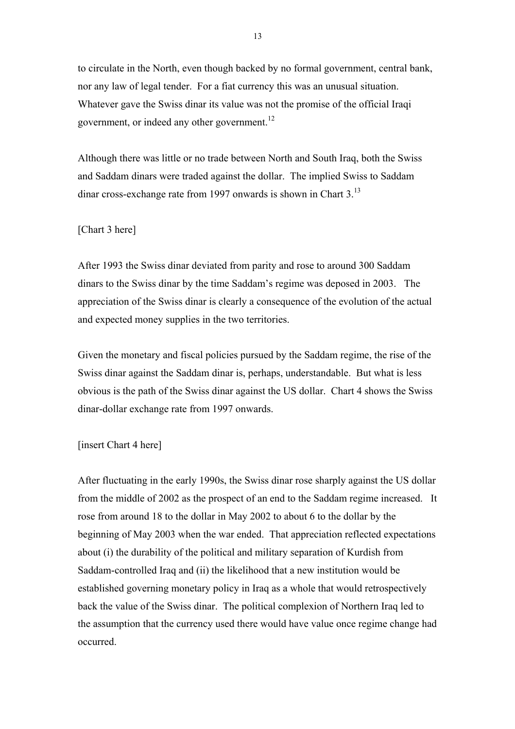to circulate in the North, even though backed by no formal government, central bank, nor any law of legal tender. For a fiat currency this was an unusual situation. Whatever gave the Swiss dinar its value was not the promise of the official Iraqi government, or indeed any other government.<sup>12</sup>

Although there was little or no trade between North and South Iraq, both the Swiss and Saddam dinars were traded against the dollar. The implied Swiss to Saddam dinar cross-exchange rate from 1997 onwards is shown in Chart 3.<sup>13</sup>

#### [Chart 3 here]

After 1993 the Swiss dinar deviated from parity and rose to around 300 Saddam dinars to the Swiss dinar by the time Saddam's regime was deposed in 2003. The appreciation of the Swiss dinar is clearly a consequence of the evolution of the actual and expected money supplies in the two territories.

Given the monetary and fiscal policies pursued by the Saddam regime, the rise of the Swiss dinar against the Saddam dinar is, perhaps, understandable. But what is less obvious is the path of the Swiss dinar against the US dollar. Chart 4 shows the Swiss dinar-dollar exchange rate from 1997 onwards.

#### [insert Chart 4 here]

After fluctuating in the early 1990s, the Swiss dinar rose sharply against the US dollar from the middle of 2002 as the prospect of an end to the Saddam regime increased. It rose from around 18 to the dollar in May 2002 to about 6 to the dollar by the beginning of May 2003 when the war ended. That appreciation reflected expectations about (i) the durability of the political and military separation of Kurdish from Saddam-controlled Iraq and (ii) the likelihood that a new institution would be established governing monetary policy in Iraq as a whole that would retrospectively back the value of the Swiss dinar. The political complexion of Northern Iraq led to the assumption that the currency used there would have value once regime change had occurred.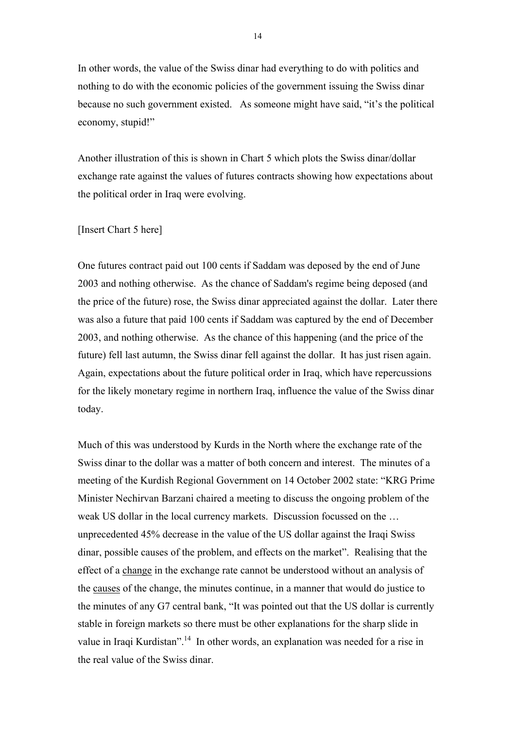In other words, the value of the Swiss dinar had everything to do with politics and nothing to do with the economic policies of the government issuing the Swiss dinar because no such government existed. As someone might have said, "it's the political economy, stupid!"

Another illustration of this is shown in Chart 5 which plots the Swiss dinar/dollar exchange rate against the values of futures contracts showing how expectations about the political order in Iraq were evolving.

#### [Insert Chart 5 here]

One futures contract paid out 100 cents if Saddam was deposed by the end of June 2003 and nothing otherwise. As the chance of Saddam's regime being deposed (and the price of the future) rose, the Swiss dinar appreciated against the dollar. Later there was also a future that paid 100 cents if Saddam was captured by the end of December 2003, and nothing otherwise. As the chance of this happening (and the price of the future) fell last autumn, the Swiss dinar fell against the dollar. It has just risen again. Again, expectations about the future political order in Iraq, which have repercussions for the likely monetary regime in northern Iraq, influence the value of the Swiss dinar today.

Much of this was understood by Kurds in the North where the exchange rate of the Swiss dinar to the dollar was a matter of both concern and interest. The minutes of a meeting of the Kurdish Regional Government on 14 October 2002 state: "KRG Prime Minister Nechirvan Barzani chaired a meeting to discuss the ongoing problem of the weak US dollar in the local currency markets. Discussion focussed on the … unprecedented 45% decrease in the value of the US dollar against the Iraqi Swiss dinar, possible causes of the problem, and effects on the market". Realising that the effect of a change in the exchange rate cannot be understood without an analysis of the causes of the change, the minutes continue, in a manner that would do justice to the minutes of any G7 central bank, "It was pointed out that the US dollar is currently stable in foreign markets so there must be other explanations for the sharp slide in value in Iraqi Kurdistan".<sup>14</sup> In other words, an explanation was needed for a rise in the real value of the Swiss dinar.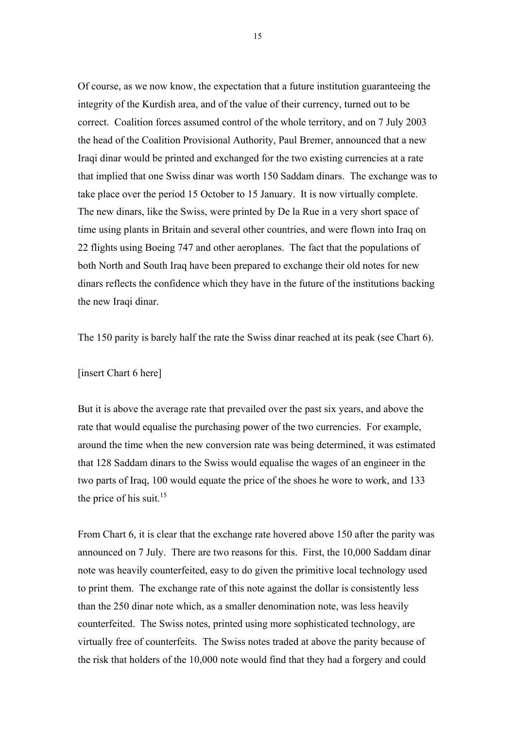Of course, as we now know, the expectation that a future institution guaranteeing the integrity of the Kurdish area, and of the value of their currency, turned out to be correct. Coalition forces assumed control of the whole territory, and on 7 July 2003 the head of the Coalition Provisional Authority, Paul Bremer, announced that a new Iraqi dinar would be printed and exchanged for the two existing currencies at a rate that implied that one Swiss dinar was worth 150 Saddam dinars. The exchange was to take place over the period 15 October to 15 January. It is now virtually complete. The new dinars, like the Swiss, were printed by De la Rue in a very short space of time using plants in Britain and several other countries, and were flown into Iraq on 22 flights using Boeing 747 and other aeroplanes. The fact that the populations of both North and South Iraq have been prepared to exchange their old notes for new dinars reflects the confidence which they have in the future of the institutions backing the new Iraqi dinar.

The 150 parity is barely half the rate the Swiss dinar reached at its peak (see Chart 6).

#### [insert Chart 6 here]

But it is above the average rate that prevailed over the past six years, and above the rate that would equalise the purchasing power of the two currencies. For example, around the time when the new conversion rate was being determined, it was estimated that 128 Saddam dinars to the Swiss would equalise the wages of an engineer in the two parts of Iraq, 100 would equate the price of the shoes he wore to work, and 133 the price of his suit.<sup>15</sup>

From Chart 6, it is clear that the exchange rate hovered above 150 after the parity was announced on 7 July. There are two reasons for this. First, the 10,000 Saddam dinar note was heavily counterfeited, easy to do given the primitive local technology used to print them. The exchange rate of this note against the dollar is consistently less than the 250 dinar note which, as a smaller denomination note, was less heavily counterfeited. The Swiss notes, printed using more sophisticated technology, are virtually free of counterfeits. The Swiss notes traded at above the parity because of the risk that holders of the 10,000 note would find that they had a forgery and could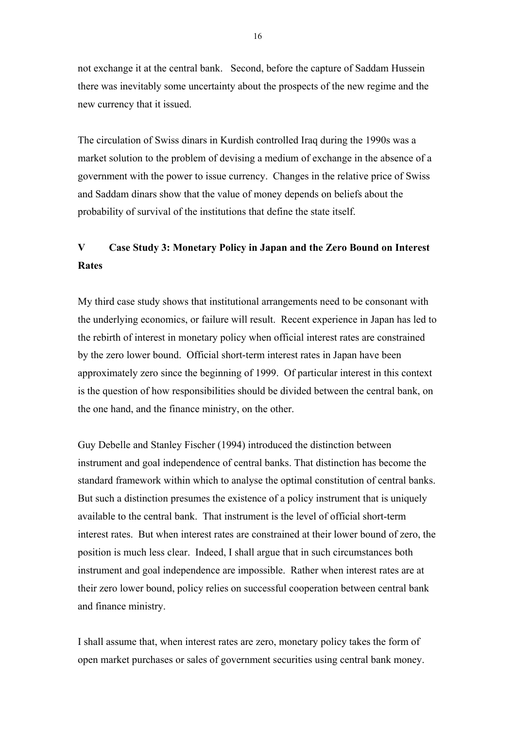not exchange it at the central bank. Second, before the capture of Saddam Hussein there was inevitably some uncertainty about the prospects of the new regime and the new currency that it issued.

The circulation of Swiss dinars in Kurdish controlled Iraq during the 1990s was a market solution to the problem of devising a medium of exchange in the absence of a government with the power to issue currency. Changes in the relative price of Swiss and Saddam dinars show that the value of money depends on beliefs about the probability of survival of the institutions that define the state itself.

### **V Case Study 3: Monetary Policy in Japan and the Zero Bound on Interest Rates**

My third case study shows that institutional arrangements need to be consonant with the underlying economics, or failure will result. Recent experience in Japan has led to the rebirth of interest in monetary policy when official interest rates are constrained by the zero lower bound. Official short-term interest rates in Japan have been approximately zero since the beginning of 1999. Of particular interest in this context is the question of how responsibilities should be divided between the central bank, on the one hand, and the finance ministry, on the other.

Guy Debelle and Stanley Fischer (1994) introduced the distinction between instrument and goal independence of central banks. That distinction has become the standard framework within which to analyse the optimal constitution of central banks. But such a distinction presumes the existence of a policy instrument that is uniquely available to the central bank. That instrument is the level of official short-term interest rates. But when interest rates are constrained at their lower bound of zero, the position is much less clear. Indeed, I shall argue that in such circumstances both instrument and goal independence are impossible. Rather when interest rates are at their zero lower bound, policy relies on successful cooperation between central bank and finance ministry.

I shall assume that, when interest rates are zero, monetary policy takes the form of open market purchases or sales of government securities using central bank money.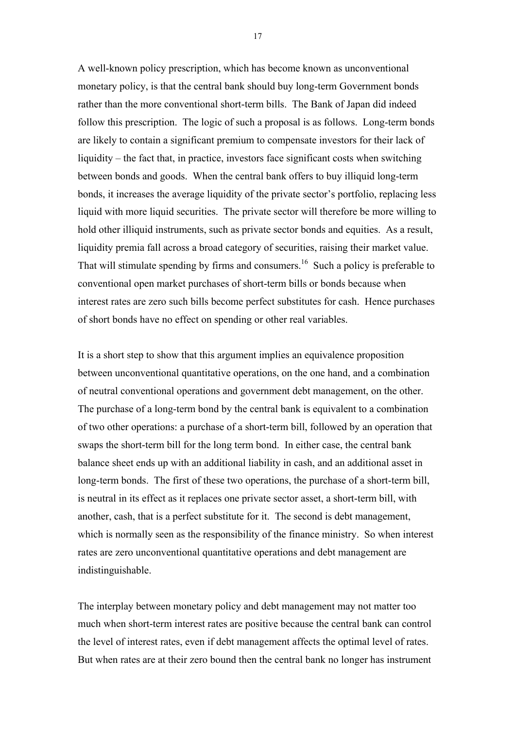A well-known policy prescription, which has become known as unconventional monetary policy, is that the central bank should buy long-term Government bonds rather than the more conventional short-term bills. The Bank of Japan did indeed follow this prescription. The logic of such a proposal is as follows. Long-term bonds are likely to contain a significant premium to compensate investors for their lack of liquidity – the fact that, in practice, investors face significant costs when switching between bonds and goods. When the central bank offers to buy illiquid long-term bonds, it increases the average liquidity of the private sector's portfolio, replacing less liquid with more liquid securities. The private sector will therefore be more willing to hold other illiquid instruments, such as private sector bonds and equities. As a result, liquidity premia fall across a broad category of securities, raising their market value. That will stimulate spending by firms and consumers.<sup>16</sup> Such a policy is preferable to conventional open market purchases of short-term bills or bonds because when interest rates are zero such bills become perfect substitutes for cash. Hence purchases of short bonds have no effect on spending or other real variables.

It is a short step to show that this argument implies an equivalence proposition between unconventional quantitative operations, on the one hand, and a combination of neutral conventional operations and government debt management, on the other. The purchase of a long-term bond by the central bank is equivalent to a combination of two other operations: a purchase of a short-term bill, followed by an operation that swaps the short-term bill for the long term bond. In either case, the central bank balance sheet ends up with an additional liability in cash, and an additional asset in long-term bonds. The first of these two operations, the purchase of a short-term bill, is neutral in its effect as it replaces one private sector asset, a short-term bill, with another, cash, that is a perfect substitute for it. The second is debt management, which is normally seen as the responsibility of the finance ministry. So when interest rates are zero unconventional quantitative operations and debt management are indistinguishable.

The interplay between monetary policy and debt management may not matter too much when short-term interest rates are positive because the central bank can control the level of interest rates, even if debt management affects the optimal level of rates. But when rates are at their zero bound then the central bank no longer has instrument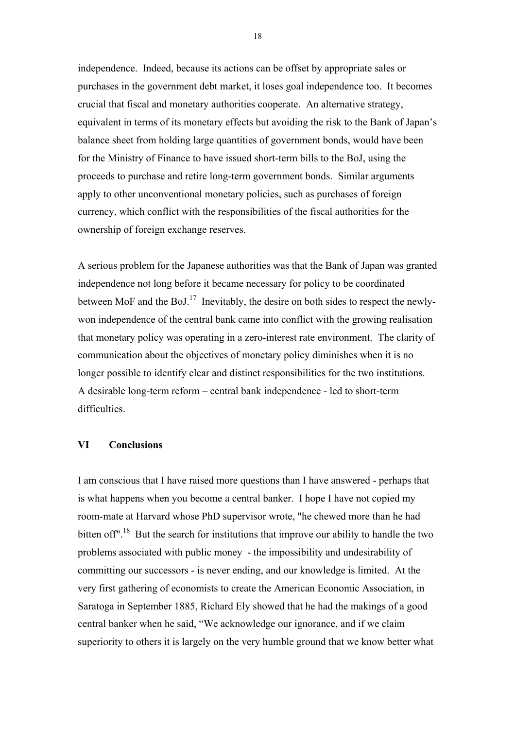independence. Indeed, because its actions can be offset by appropriate sales or purchases in the government debt market, it loses goal independence too. It becomes crucial that fiscal and monetary authorities cooperate. An alternative strategy, equivalent in terms of its monetary effects but avoiding the risk to the Bank of Japan's balance sheet from holding large quantities of government bonds, would have been for the Ministry of Finance to have issued short-term bills to the BoJ, using the proceeds to purchase and retire long-term government bonds. Similar arguments apply to other unconventional monetary policies, such as purchases of foreign currency, which conflict with the responsibilities of the fiscal authorities for the ownership of foreign exchange reserves.

A serious problem for the Japanese authorities was that the Bank of Japan was granted independence not long before it became necessary for policy to be coordinated between MoF and the BoJ.<sup>17</sup> Inevitably, the desire on both sides to respect the newlywon independence of the central bank came into conflict with the growing realisation that monetary policy was operating in a zero-interest rate environment. The clarity of communication about the objectives of monetary policy diminishes when it is no longer possible to identify clear and distinct responsibilities for the two institutions. A desirable long-term reform – central bank independence - led to short-term difficulties.

#### **VI Conclusions**

I am conscious that I have raised more questions than I have answered - perhaps that is what happens when you become a central banker. I hope I have not copied my room-mate at Harvard whose PhD supervisor wrote, "he chewed more than he had bitten off".<sup>18</sup> But the search for institutions that improve our ability to handle the two problems associated with public money - the impossibility and undesirability of committing our successors - is never ending, and our knowledge is limited. At the very first gathering of economists to create the American Economic Association, in Saratoga in September 1885, Richard Ely showed that he had the makings of a good central banker when he said, "We acknowledge our ignorance, and if we claim superiority to others it is largely on the very humble ground that we know better what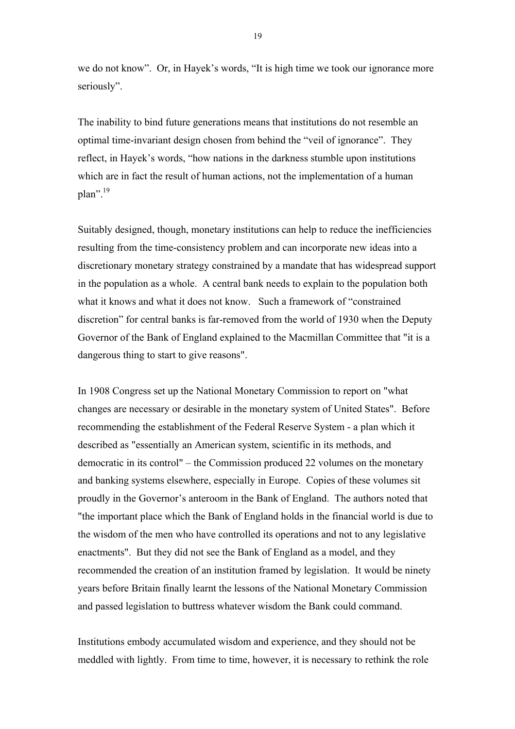we do not know". Or, in Hayek's words, "It is high time we took our ignorance more seriously".

The inability to bind future generations means that institutions do not resemble an optimal time-invariant design chosen from behind the "veil of ignorance". They reflect, in Hayek's words, "how nations in the darkness stumble upon institutions which are in fact the result of human actions, not the implementation of a human  $plan$ ".<sup>19</sup>

Suitably designed, though, monetary institutions can help to reduce the inefficiencies resulting from the time-consistency problem and can incorporate new ideas into a discretionary monetary strategy constrained by a mandate that has widespread support in the population as a whole. A central bank needs to explain to the population both what it knows and what it does not know. Such a framework of "constrained discretion" for central banks is far-removed from the world of 1930 when the Deputy Governor of the Bank of England explained to the Macmillan Committee that "it is a dangerous thing to start to give reasons".

In 1908 Congress set up the National Monetary Commission to report on "what changes are necessary or desirable in the monetary system of United States". Before recommending the establishment of the Federal Reserve System - a plan which it described as "essentially an American system, scientific in its methods, and democratic in its control" – the Commission produced 22 volumes on the monetary and banking systems elsewhere, especially in Europe. Copies of these volumes sit proudly in the Governor's anteroom in the Bank of England. The authors noted that "the important place which the Bank of England holds in the financial world is due to the wisdom of the men who have controlled its operations and not to any legislative enactments". But they did not see the Bank of England as a model, and they recommended the creation of an institution framed by legislation. It would be ninety years before Britain finally learnt the lessons of the National Monetary Commission and passed legislation to buttress whatever wisdom the Bank could command.

Institutions embody accumulated wisdom and experience, and they should not be meddled with lightly. From time to time, however, it is necessary to rethink the role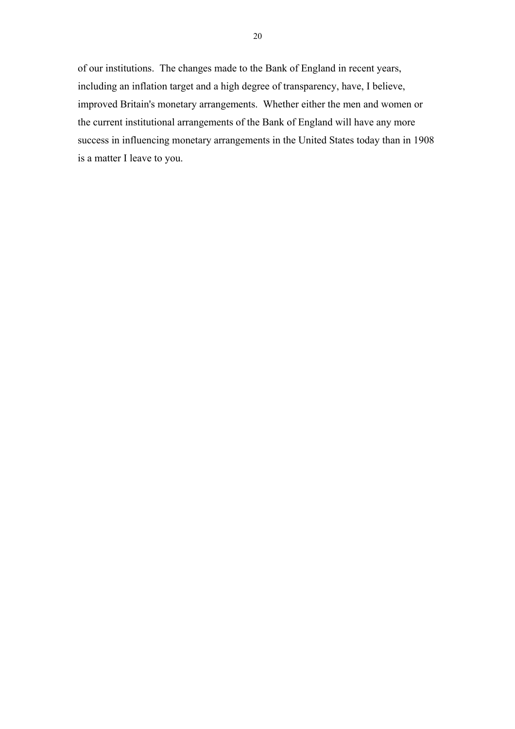of our institutions. The changes made to the Bank of England in recent years, including an inflation target and a high degree of transparency, have, I believe, improved Britain's monetary arrangements. Whether either the men and women or the current institutional arrangements of the Bank of England will have any more success in influencing monetary arrangements in the United States today than in 1908 is a matter I leave to you.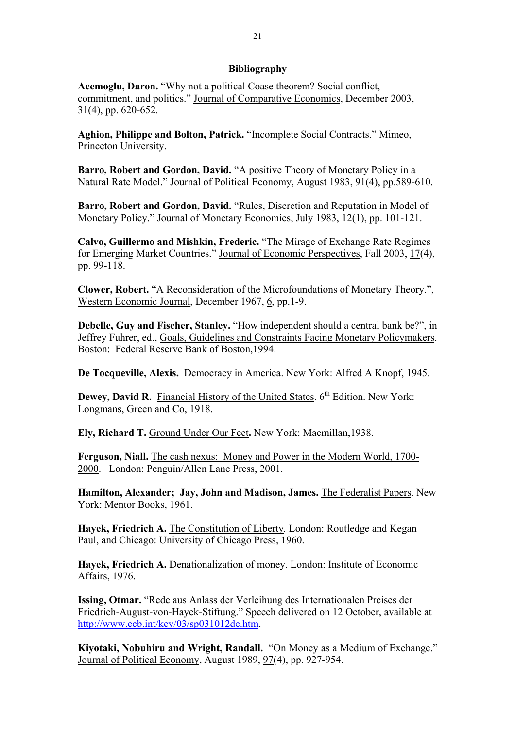#### **Bibliography**

**Acemoglu, Daron.** "Why not a political Coase theorem? Social conflict, commitment, and politics." Journal of Comparative Economics, December 2003, 31(4), pp. 620-652.

**Aghion, Philippe and Bolton, Patrick.** "Incomplete Social Contracts." Mimeo, Princeton University.

**Barro, Robert and Gordon, David.** "A positive Theory of Monetary Policy in a Natural Rate Model." Journal of Political Economy, August 1983, 91(4), pp.589-610.

**Barro, Robert and Gordon, David.** "Rules, Discretion and Reputation in Model of Monetary Policy." Journal of Monetary Economics, July 1983, 12(1), pp. 101-121.

**Calvo, Guillermo and Mishkin, Frederic.** "The Mirage of Exchange Rate Regimes for Emerging Market Countries." Journal of Economic Perspectives, Fall 2003, 17(4), pp. 99-118.

**Clower, Robert.** "A Reconsideration of the Microfoundations of Monetary Theory.", Western Economic Journal, December 1967, 6, pp.1-9.

**Debelle, Guy and Fischer, Stanley.** "How independent should a central bank be?", in Jeffrey Fuhrer, ed., Goals, Guidelines and Constraints Facing Monetary Policymakers. Boston: Federal Reserve Bank of Boston,1994.

**De Tocqueville, Alexis.** Democracy in America. New York: Alfred A Knopf, 1945.

**Dewey, David R.** Financial History of the United States. 6<sup>th</sup> Edition. New York: Longmans, Green and Co, 1918.

**Ely, Richard T.** Ground Under Our Feet**.** New York: Macmillan,1938.

**Ferguson, Niall.** The cash nexus: Money and Power in the Modern World, 1700- 2000. London: Penguin/Allen Lane Press, 2001.

**Hamilton, Alexander; Jay, John and Madison, James.** The Federalist Papers. New York: Mentor Books, 1961.

**Hayek, Friedrich A.** The Constitution of Liberty*.* London: Routledge and Kegan Paul, and Chicago: University of Chicago Press, 1960.

**Hayek, Friedrich A.** Denationalization of money. London: Institute of Economic Affairs, 1976.

**Issing, Otmar.** "Rede aus Anlass der Verleihung des Internationalen Preises der Friedrich-August-von-Hayek-Stiftung." Speech delivered on 12 October, available at http://www.ecb.int/key/03/sp031012de.htm.

**Kiyotaki, Nobuhiru and Wright, Randall.** "On Money as a Medium of Exchange." Journal of Political Economy, August 1989, 97(4), pp. 927-954.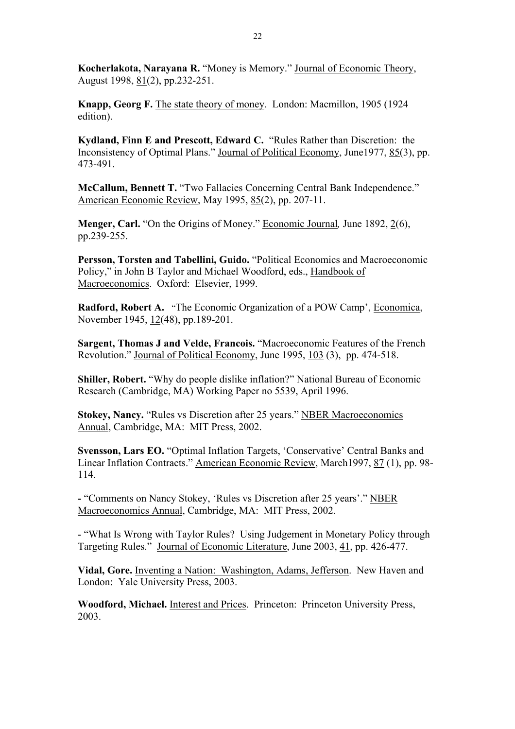**Kocherlakota, Narayana R.** "Money is Memory." Journal of Economic Theory, August 1998, 81(2), pp.232-251.

**Knapp, Georg F.** The state theory of money. London: Macmillon, 1905 (1924 edition).

**Kydland, Finn E and Prescott, Edward C.** "Rules Rather than Discretion: the Inconsistency of Optimal Plans." Journal of Political Economy, June1977, 85(3), pp. 473-491.

**McCallum, Bennett T.** "Two Fallacies Concerning Central Bank Independence." American Economic Review, May 1995, 85(2), pp. 207-11.

**Menger, Carl.** "On the Origins of Money." Economic Journal*,* June 1892, 2(6), pp.239-255.

**Persson, Torsten and Tabellini, Guido.** "Political Economics and Macroeconomic Policy," in John B Taylor and Michael Woodford, eds., Handbook of Macroeconomics. Oxford: Elsevier, 1999.

**Radford, Robert A.** "The Economic Organization of a POW Camp', Economica, November 1945, 12(48), pp.189-201.

**Sargent, Thomas J and Velde, Francois.** "Macroeconomic Features of the French Revolution." Journal of Political Economy, June 1995, 103 (3), pp. 474-518.

**Shiller, Robert.** "Why do people dislike inflation?" National Bureau of Economic Research (Cambridge, MA) Working Paper no 5539, April 1996.

Stokey, Nancy. "Rules vs Discretion after 25 years." NBER Macroeconomics Annual, Cambridge, MA: MIT Press, 2002.

**Svensson, Lars EO.** "Optimal Inflation Targets, 'Conservative' Central Banks and Linear Inflation Contracts." American Economic Review, March1997, 87 (1), pp. 98- 114.

**-** "Comments on Nancy Stokey, 'Rules vs Discretion after 25 years'." NBER Macroeconomics Annual, Cambridge, MA: MIT Press, 2002.

- "What Is Wrong with Taylor Rules? Using Judgement in Monetary Policy through Targeting Rules." Journal of Economic Literature, June 2003, 41, pp. 426-477.

**Vidal, Gore.** Inventing a Nation: Washington, Adams, Jefferson. New Haven and London: Yale University Press, 2003.

**Woodford, Michael.** Interest and Prices. Princeton: Princeton University Press, 2003.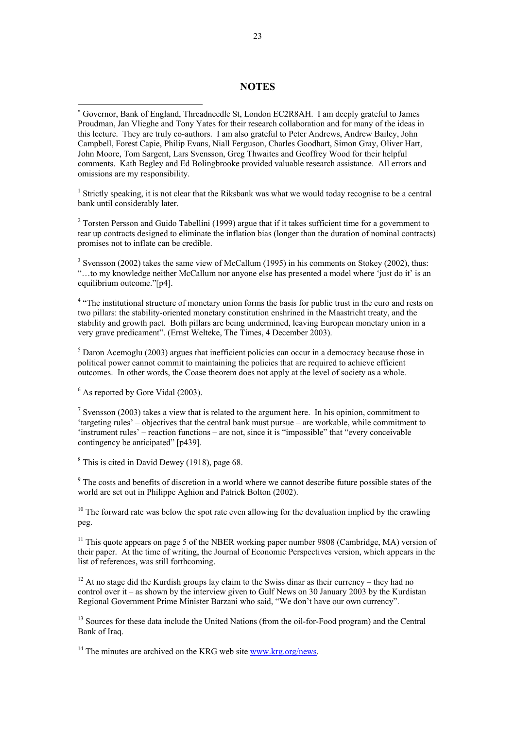#### **NOTES**

<sup>1</sup> Strictly speaking, it is not clear that the Riksbank was what we would today recognise to be a central bank until considerably later.

<sup>2</sup> Torsten Persson and Guido Tabellini (1999) argue that if it takes sufficient time for a government to tear up contracts designed to eliminate the inflation bias (longer than the duration of nominal contracts) promises not to inflate can be credible.

 $3$  Svensson (2002) takes the same view of McCallum (1995) in his comments on Stokey (2002), thus: "…to my knowledge neither McCallum nor anyone else has presented a model where 'just do it' is an equilibrium outcome."[p4].

<sup>4</sup> "The institutional structure of monetary union forms the basis for public trust in the euro and rests on two pillars: the stability-oriented monetary constitution enshrined in the Maastricht treaty, and the stability and growth pact. Both pillars are being undermined, leaving European monetary union in a very grave predicament". (Ernst Welteke, The Times, 4 December 2003).

 $<sup>5</sup>$  Daron Acemoglu (2003) argues that inefficient policies can occur in a democracy because those in</sup> political power cannot commit to maintaining the policies that are required to achieve efficient outcomes. In other words, the Coase theorem does not apply at the level of society as a whole.

<sup>6</sup> As reported by Gore Vidal (2003).

l

<sup>7</sup> Svensson (2003) takes a view that is related to the argument here. In his opinion, commitment to 'targeting rules' – objectives that the central bank must pursue – are workable, while commitment to 'instrument rules' – reaction functions – are not, since it is "impossible" that "every conceivable contingency be anticipated" [p439].

<sup>8</sup> This is cited in David Dewey (1918), page 68.

<sup>9</sup> The costs and benefits of discretion in a world where we cannot describe future possible states of the world are set out in Philippe Aghion and Patrick Bolton (2002).

 $10$  The forward rate was below the spot rate even allowing for the devaluation implied by the crawling peg.

 $11$  This quote appears on page 5 of the NBER working paper number 9808 (Cambridge, MA) version of their paper. At the time of writing, the Journal of Economic Perspectives version, which appears in the list of references, was still forthcoming.

 $12$  At no stage did the Kurdish groups lay claim to the Swiss dinar as their currency – they had no control over it – as shown by the interview given to Gulf News on 30 January 2003 by the Kurdistan Regional Government Prime Minister Barzani who said, "We don't have our own currency".

<sup>13</sup> Sources for these data include the United Nations (from the oil-for-Food program) and the Central Bank of Iraq.

<sup>14</sup> The minutes are archived on the KRG web site www.krg.org/news.

<sup>∗</sup> Governor, Bank of England, Threadneedle St, London EC2R8AH. I am deeply grateful to James Proudman, Jan Vlieghe and Tony Yates for their research collaboration and for many of the ideas in this lecture. They are truly co-authors. I am also grateful to Peter Andrews, Andrew Bailey, John Campbell, Forest Capie, Philip Evans, Niall Ferguson, Charles Goodhart, Simon Gray, Oliver Hart, John Moore, Tom Sargent, Lars Svensson, Greg Thwaites and Geoffrey Wood for their helpful comments. Kath Begley and Ed Bolingbrooke provided valuable research assistance. All errors and omissions are my responsibility.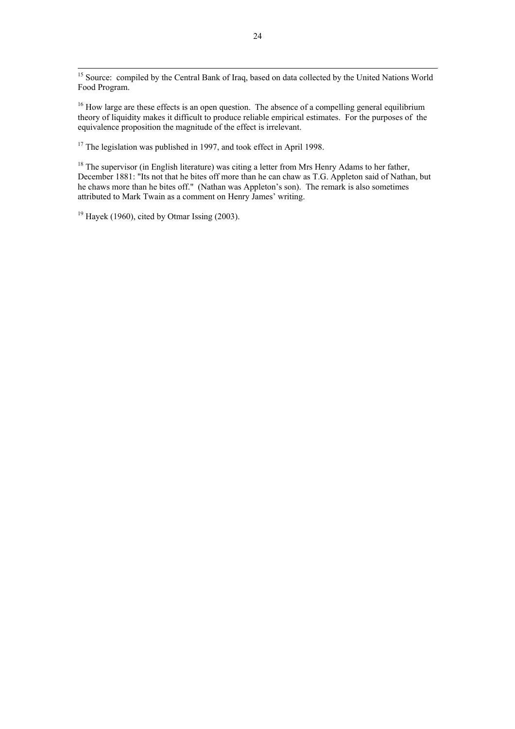<sup>15</sup> Source: compiled by the Central Bank of Iraq, based on data collected by the United Nations World Food Program.

<sup>16</sup> How large are these effects is an open question. The absence of a compelling general equilibrium theory of liquidity makes it difficult to produce reliable empirical estimates. For the purposes of the equivalence proposition the magnitude of the effect is irrelevant.

<sup>17</sup> The legislation was published in 1997, and took effect in April 1998.

 $18$  The supervisor (in English literature) was citing a letter from Mrs Henry Adams to her father, December 1881: "Its not that he bites off more than he can chaw as T.G. Appleton said of Nathan, but he chaws more than he bites off." (Nathan was Appleton's son). The remark is also sometimes attributed to Mark Twain as a comment on Henry James' writing.

 $19$  Havek (1960), cited by Otmar Issing (2003).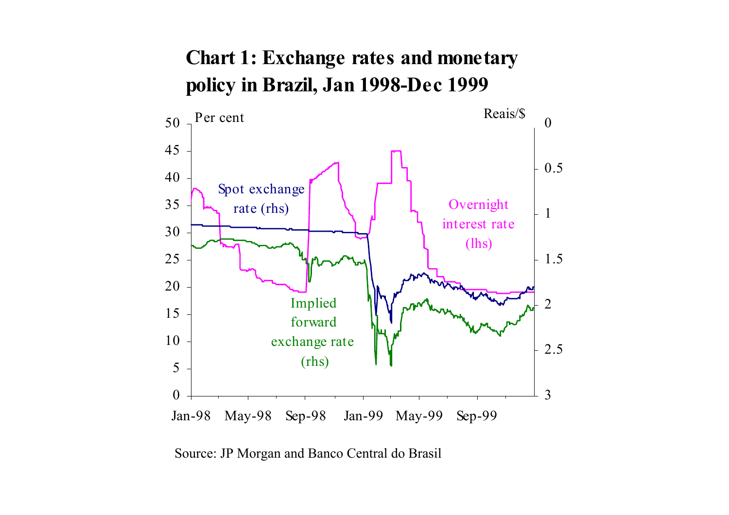## **Chart 1: Exchange rates and monetary policy in Brazil, Jan 1998-Dec 1999**



Source: JP Morgan and Banco Central do Brasil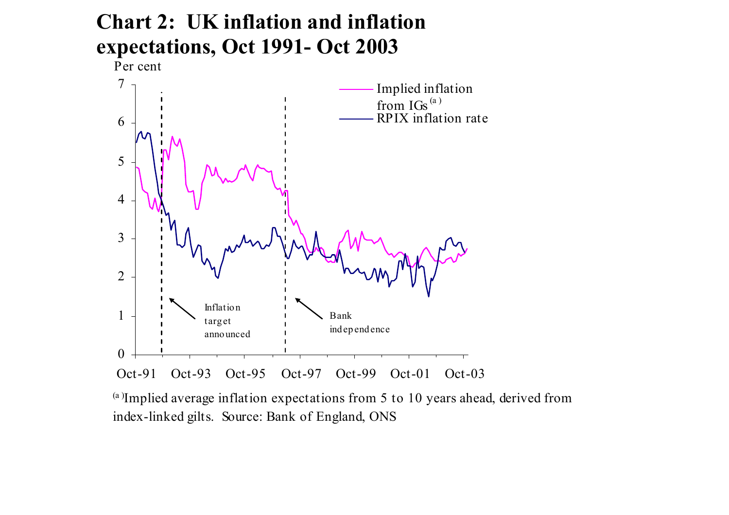# **Chart 2: UK inflation and inflation expectations, Oct 1991- Oct 2003**

Per cent



(a )Implied average inflation expectations from 5 to 10 years ahead, derived from index-linked gilts. Source: Bank of England, ONS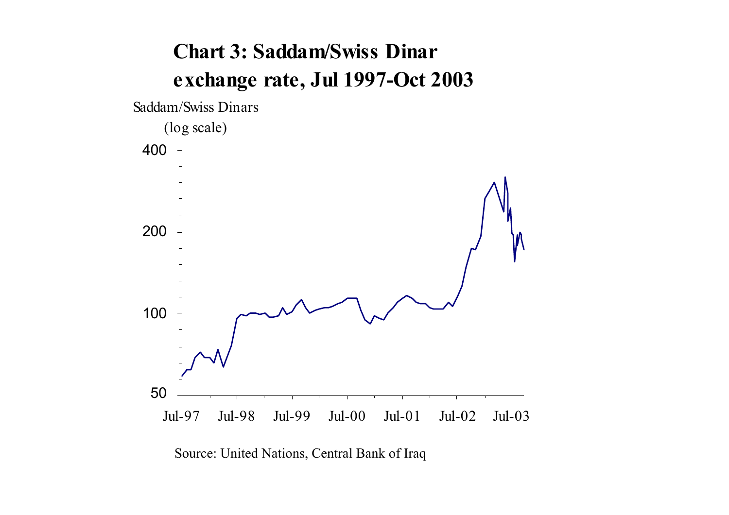# **Chart 3: Saddam/Swiss Dinar exchange rate, Jul 1997-Oct 2003**



Source: United Nations, Central Bank of Iraq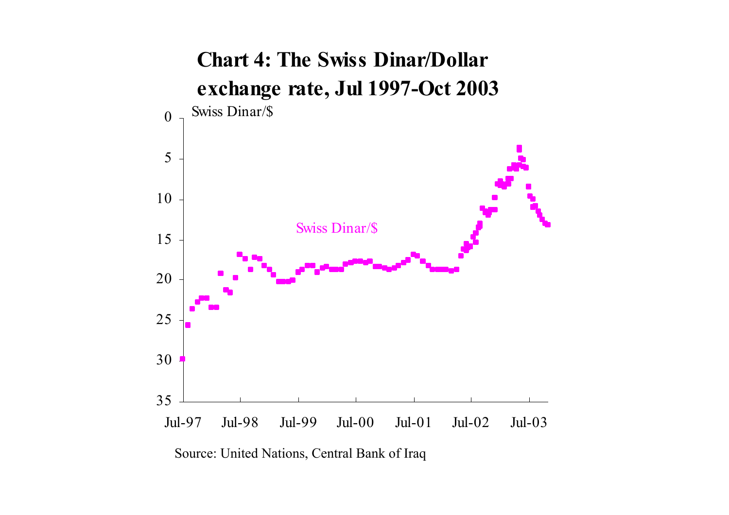

Source: United Nations, Central Bank of Iraq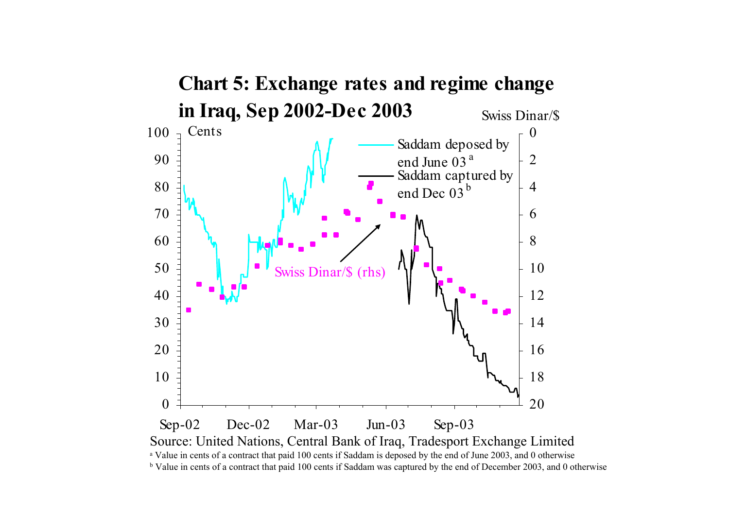

b Value in cents of a contract that paid 100 cents if Saddam was captured by the end of December 2003, and 0 otherwise